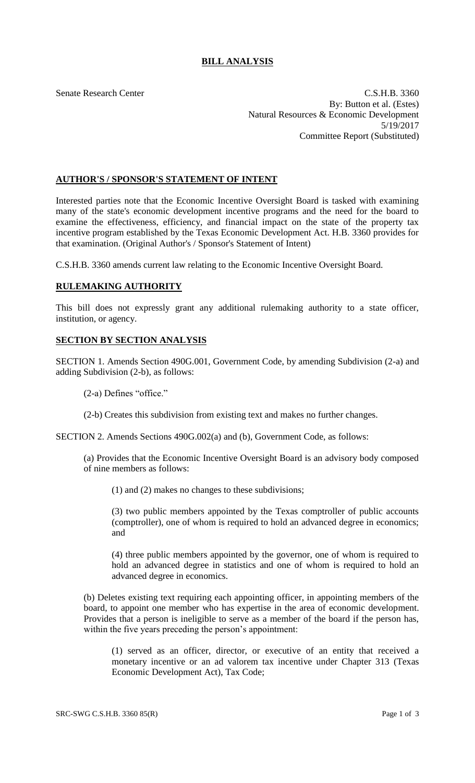## **BILL ANALYSIS**

Senate Research Center C.S.H.B. 3360 By: Button et al. (Estes) Natural Resources & Economic Development 5/19/2017 Committee Report (Substituted)

## **AUTHOR'S / SPONSOR'S STATEMENT OF INTENT**

Interested parties note that the Economic Incentive Oversight Board is tasked with examining many of the state's economic development incentive programs and the need for the board to examine the effectiveness, efficiency, and financial impact on the state of the property tax incentive program established by the Texas Economic Development Act. H.B. 3360 provides for that examination. (Original Author's / Sponsor's Statement of Intent)

C.S.H.B. 3360 amends current law relating to the Economic Incentive Oversight Board.

## **RULEMAKING AUTHORITY**

This bill does not expressly grant any additional rulemaking authority to a state officer, institution, or agency.

## **SECTION BY SECTION ANALYSIS**

SECTION 1. Amends Section 490G.001, Government Code, by amending Subdivision (2-a) and adding Subdivision (2-b), as follows:

(2-a) Defines "office."

(2-b) Creates this subdivision from existing text and makes no further changes.

SECTION 2. Amends Sections 490G.002(a) and (b), Government Code, as follows:

(a) Provides that the Economic Incentive Oversight Board is an advisory body composed of nine members as follows:

(1) and (2) makes no changes to these subdivisions;

(3) two public members appointed by the Texas comptroller of public accounts (comptroller), one of whom is required to hold an advanced degree in economics; and

(4) three public members appointed by the governor, one of whom is required to hold an advanced degree in statistics and one of whom is required to hold an advanced degree in economics.

(b) Deletes existing text requiring each appointing officer, in appointing members of the board, to appoint one member who has expertise in the area of economic development. Provides that a person is ineligible to serve as a member of the board if the person has, within the five years preceding the person's appointment:

(1) served as an officer, director, or executive of an entity that received a monetary incentive or an ad valorem tax incentive under Chapter 313 (Texas Economic Development Act), Tax Code;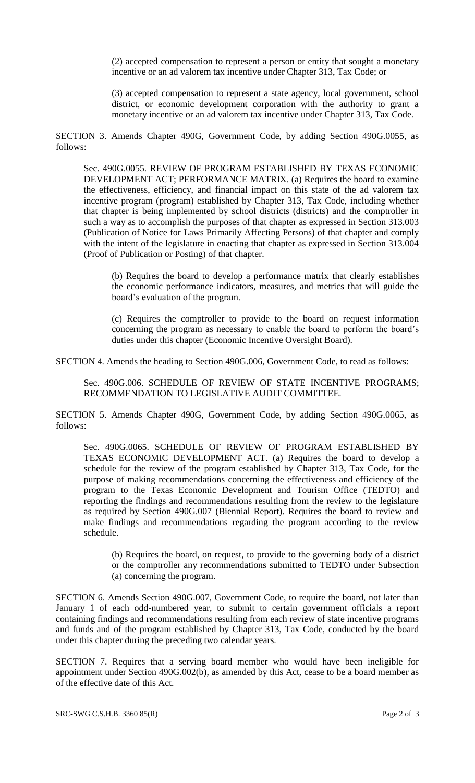(2) accepted compensation to represent a person or entity that sought a monetary incentive or an ad valorem tax incentive under Chapter 313, Tax Code; or

(3) accepted compensation to represent a state agency, local government, school district, or economic development corporation with the authority to grant a monetary incentive or an ad valorem tax incentive under Chapter 313, Tax Code.

SECTION 3. Amends Chapter 490G, Government Code, by adding Section 490G.0055, as follows:

Sec. 490G.0055. REVIEW OF PROGRAM ESTABLISHED BY TEXAS ECONOMIC DEVELOPMENT ACT; PERFORMANCE MATRIX. (a) Requires the board to examine the effectiveness, efficiency, and financial impact on this state of the ad valorem tax incentive program (program) established by Chapter 313, Tax Code, including whether that chapter is being implemented by school districts (districts) and the comptroller in such a way as to accomplish the purposes of that chapter as expressed in Section 313.003 (Publication of Notice for Laws Primarily Affecting Persons) of that chapter and comply with the intent of the legislature in enacting that chapter as expressed in Section 313.004 (Proof of Publication or Posting) of that chapter.

(b) Requires the board to develop a performance matrix that clearly establishes the economic performance indicators, measures, and metrics that will guide the board's evaluation of the program.

(c) Requires the comptroller to provide to the board on request information concerning the program as necessary to enable the board to perform the board's duties under this chapter (Economic Incentive Oversight Board).

SECTION 4. Amends the heading to Section 490G.006, Government Code, to read as follows:

Sec. 490G.006. SCHEDULE OF REVIEW OF STATE INCENTIVE PROGRAMS; RECOMMENDATION TO LEGISLATIVE AUDIT COMMITTEE.

SECTION 5. Amends Chapter 490G, Government Code, by adding Section 490G.0065, as follows:

Sec. 490G.0065. SCHEDULE OF REVIEW OF PROGRAM ESTABLISHED BY TEXAS ECONOMIC DEVELOPMENT ACT. (a) Requires the board to develop a schedule for the review of the program established by Chapter 313, Tax Code, for the purpose of making recommendations concerning the effectiveness and efficiency of the program to the Texas Economic Development and Tourism Office (TEDTO) and reporting the findings and recommendations resulting from the review to the legislature as required by Section 490G.007 (Biennial Report). Requires the board to review and make findings and recommendations regarding the program according to the review schedule.

(b) Requires the board, on request, to provide to the governing body of a district or the comptroller any recommendations submitted to TEDTO under Subsection (a) concerning the program.

SECTION 6. Amends Section 490G.007, Government Code, to require the board, not later than January 1 of each odd-numbered year, to submit to certain government officials a report containing findings and recommendations resulting from each review of state incentive programs and funds and of the program established by Chapter 313, Tax Code, conducted by the board under this chapter during the preceding two calendar years.

SECTION 7. Requires that a serving board member who would have been ineligible for appointment under Section 490G.002(b), as amended by this Act, cease to be a board member as of the effective date of this Act.